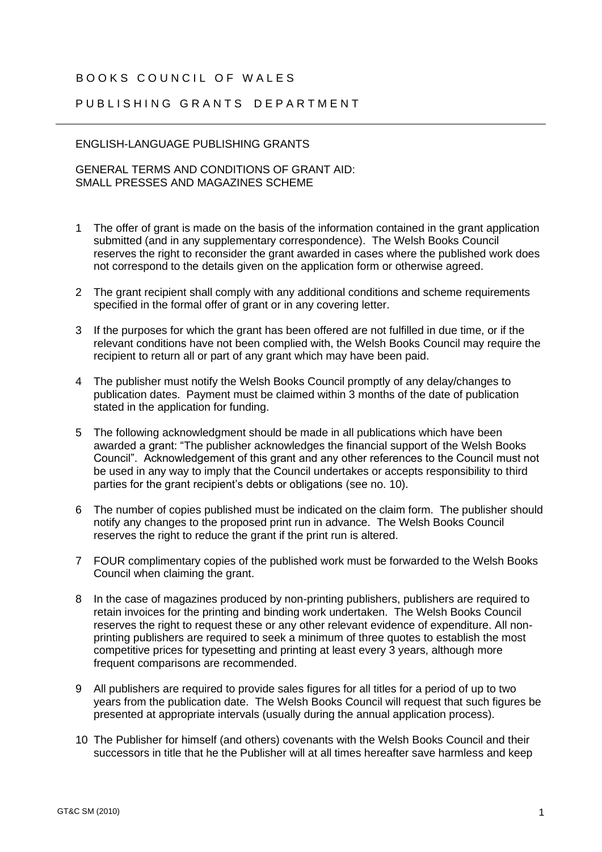## BOOKS COUNCIL OF WALFS

## PUBLISHING GRANTS DEPARTMENT

## ENGLISH-LANGUAGE PUBLISHING GRANTS

GENERAL TERMS AND CONDITIONS OF GRANT AID: SMALL PRESSES AND MAGAZINES SCHEME

- 1 The offer of grant is made on the basis of the information contained in the grant application submitted (and in any supplementary correspondence). The Welsh Books Council reserves the right to reconsider the grant awarded in cases where the published work does not correspond to the details given on the application form or otherwise agreed.
- 2 The grant recipient shall comply with any additional conditions and scheme requirements specified in the formal offer of grant or in any covering letter.
- 3 If the purposes for which the grant has been offered are not fulfilled in due time, or if the relevant conditions have not been complied with, the Welsh Books Council may require the recipient to return all or part of any grant which may have been paid.
- 4 The publisher must notify the Welsh Books Council promptly of any delay/changes to publication dates. Payment must be claimed within 3 months of the date of publication stated in the application for funding.
- 5 The following acknowledgment should be made in all publications which have been awarded a grant: "The publisher acknowledges the financial support of the Welsh Books Council". Acknowledgement of this grant and any other references to the Council must not be used in any way to imply that the Council undertakes or accepts responsibility to third parties for the grant recipient's debts or obligations (see no. 10).
- 6 The number of copies published must be indicated on the claim form. The publisher should notify any changes to the proposed print run in advance. The Welsh Books Council reserves the right to reduce the grant if the print run is altered.
- 7 FOUR complimentary copies of the published work must be forwarded to the Welsh Books Council when claiming the grant.
- 8 In the case of magazines produced by non-printing publishers, publishers are required to retain invoices for the printing and binding work undertaken. The Welsh Books Council reserves the right to request these or any other relevant evidence of expenditure. All nonprinting publishers are required to seek a minimum of three quotes to establish the most competitive prices for typesetting and printing at least every 3 years, although more frequent comparisons are recommended.
- 9 All publishers are required to provide sales figures for all titles for a period of up to two years from the publication date. The Welsh Books Council will request that such figures be presented at appropriate intervals (usually during the annual application process).
- 10 The Publisher for himself (and others) covenants with the Welsh Books Council and their successors in title that he the Publisher will at all times hereafter save harmless and keep